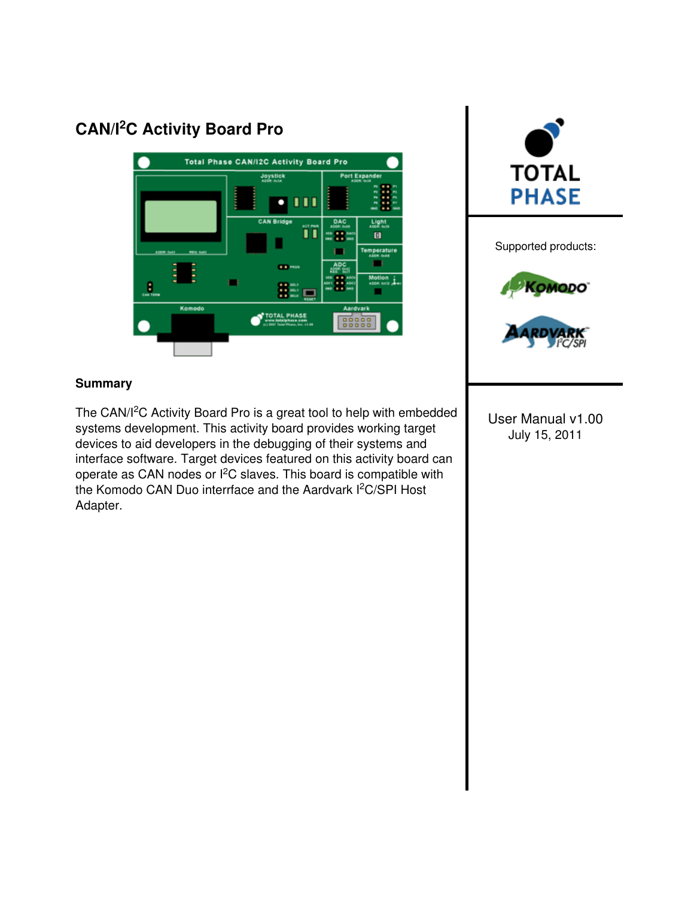# CAN/I<sup>2</sup>C Activity Board Pro





Supported products: **COMODO** 

#### **Summary**

The CAN/I<sup>2</sup>C Activity Board Pro is a great tool to help with embedded systems development. This activity board provides working target devices to aid developers in the debugging of their systems and interface software. Target devices featured on this activity board can operate as CAN nodes or I<sup>2</sup>C slaves. This board is compatible with the Komodo CAN Duo interrface and the Aardvark I<sup>2</sup>C/SPI Host Adapter.

User Manual v1.00 July 15, 2011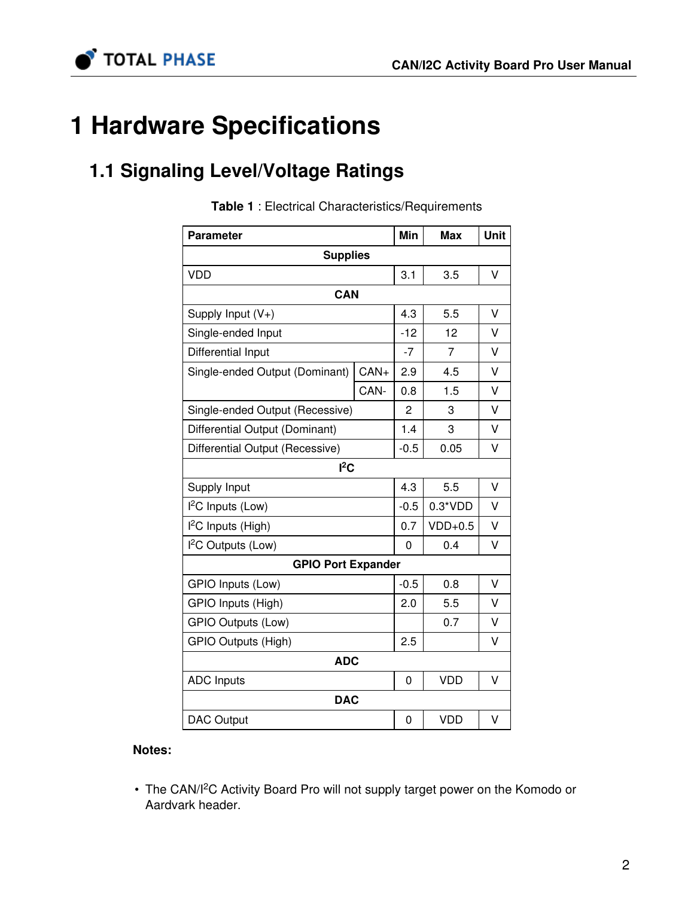

# 1 Hardware Specifications

# 1.1 Signaling Level/Voltage Ratings

| <b>Parameter</b>                |        | Min    | <b>Max</b>     | Unit   |
|---------------------------------|--------|--------|----------------|--------|
| <b>Supplies</b>                 |        |        |                |        |
| <b>VDD</b>                      |        | 3.1    | 3.5            | V      |
| CAN                             |        |        |                |        |
| Supply Input (V+)               |        | 4.3    | 5.5            | v      |
| Single-ended Input              |        | $-12$  | 12             | V      |
| Differential Input              |        | $-7$   | $\overline{7}$ | V      |
| Single-ended Output (Dominant)  | $CAN+$ | 2.9    | 4.5            | V      |
|                                 | CAN-   | 0.8    | 1.5            | v      |
| Single-ended Output (Recessive) |        | 2      | 3              | V      |
| Differential Output (Dominant)  |        | 1.4    | 3              | V      |
| Differential Output (Recessive) |        | $-0.5$ | 0.05           | V      |
| $l^2C$                          |        |        |                |        |
| Supply Input                    |        | 4.3    | 5.5            | $\vee$ |
| $l^2C$ Inputs (Low)             |        | $-0.5$ | $0.3*VDD$      | V      |
| I <sup>2</sup> C Inputs (High)  |        | 0.7    | $VDD+0.5$      | V      |
| I <sup>2</sup> C Outputs (Low)  |        | 0      | 0.4            | V      |
| <b>GPIO Port Expander</b>       |        |        |                |        |
| GPIO Inputs (Low)               |        | $-0.5$ | 0.8            | V      |
| GPIO Inputs (High)              |        | 2.0    | 5.5            | v      |
| <b>GPIO Outputs (Low)</b>       |        |        | 0.7            | V      |
| GPIO Outputs (High)             |        | 2.5    |                | V      |
| <b>ADC</b>                      |        |        |                |        |
| <b>ADC Inputs</b>               |        | 0      | <b>VDD</b>     | V      |
| <b>DAC</b>                      |        |        |                |        |
| <b>DAC Output</b>               |        | 0      | <b>VDD</b>     | V      |

Table 1 : Electrical Characteristics/Requirements

#### Notes:

• The CAN/I<sup>2</sup>C Activity Board Pro will not supply target power on the Komodo or Aardvark header.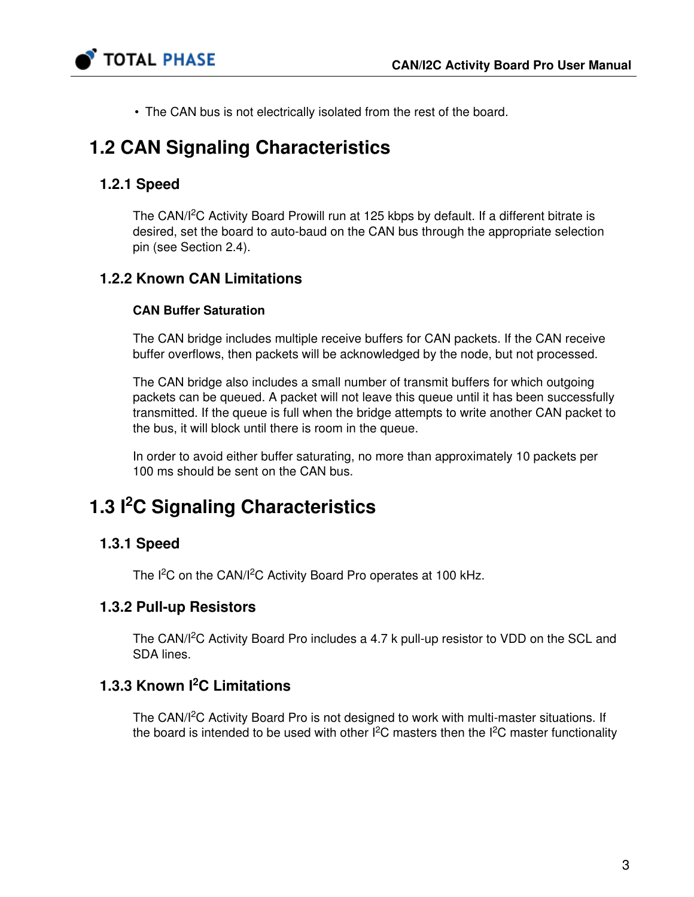

• The CAN bus is not electrically isolated from the rest of the board.

# 1.2 CAN Signaling Characteristics

### 1.2.1 Speed

The CAN/I<sup>2</sup>C Activity Board Prowill run at 125 kbps by default. If a different bitrate is desired, set the board to auto-baud on the CAN bus through the appropriate selection pin (see Section [2.4\)](#page-8-0).

### 1.2.2 Known CAN Limitations

### CAN Buffer Saturation

The CAN bridge includes multiple receive buffers for CAN packets. If the CAN receive buffer overflows, then packets will be acknowledged by the node, but not processed.

The CAN bridge also includes a small number of transmit buffers for which outgoing packets can be queued. A packet will not leave this queue until it has been successfully transmitted. If the queue is full when the bridge attempts to write another CAN packet to the bus, it will block until there is room in the queue.

In order to avoid either buffer saturating, no more than approximately 10 packets per 100 ms should be sent on the CAN bus.

# 1.3 <sup>2</sup>C Signaling Characteristics

### 1.3.1 Speed

The I<sup>2</sup>C on the CAN/I<sup>2</sup>C Activity Board Pro operates at 100 kHz.

### 1.3.2 Pull-up Resistors

The CAN/I<sup>2</sup>C Activity Board Pro includes a 4.7 k pull-up resistor to VDD on the SCL and SDA lines.

### 1.3.3 Known <sup>2</sup>C Limitations

The CAN/I<sup>2</sup>C Activity Board Pro is not designed to work with multi-master situations. If the board is intended to be used with other  $I^2C$  masters then the  $I^2C$  master functionality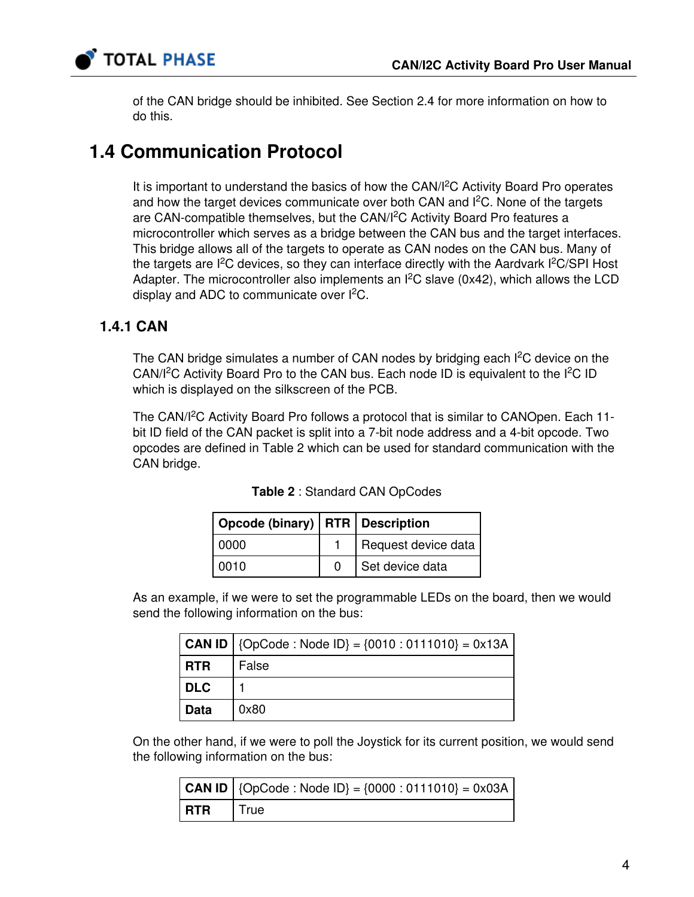

of the CAN bridge should be inhibited. See Section [2.4](#page-8-0) for more information on how to do this.

### 1.4 Communication Protocol

It is important to understand the basics of how the CAN/I<sup>2</sup>C Activity Board Pro operates and how the target devices communicate over both CAN and  $I<sup>2</sup>C$ . None of the targets are CAN-compatible themselves, but the CAN/I<sup>2</sup>C Activity Board Pro features a microcontroller which serves as a bridge between the CAN bus and the target interfaces. This bridge allows all of the targets to operate as CAN nodes on the CAN bus. Many of the targets are I<sup>2</sup>C devices, so they can interface directly with the Aardvark I<sup>2</sup>C/SPI Host Adapter. The microcontroller also implements an  $l^2C$  slave (0x42), which allows the LCD display and ADC to communicate over  $I^2C$ .

### <span id="page-3-1"></span>1.4.1 CAN

The CAN bridge simulates a number of CAN nodes by bridging each  $I<sup>2</sup>C$  device on the CAN/ $I<sup>2</sup>C$  Activity Board Pro to the CAN bus. Each node ID is equivalent to the  $I<sup>2</sup>C$  ID which is displayed on the silkscreen of the PCB.

<span id="page-3-0"></span>The CAN/I<sup>2</sup>C Activity Board Pro follows a protocol that is similar to CANOpen. Each 11bit ID field of the CAN packet is split into a 7-bit node address and a 4-bit opcode. Two opcodes are defined in Table [2](#page-3-0) which can be used for standard communication with the CAN bridge.

| Opcode (binary)   RTR   Description |   |                     |
|-------------------------------------|---|---------------------|
| l 0000                              |   | Request device data |
| 0010                                | O | Set device data     |

| Table 2: Standard CAN OpCodes |  |
|-------------------------------|--|
|-------------------------------|--|

As an example, if we were to set the programmable LEDs on the board, then we would send the following information on the bus:

|            | $ $ CAN ID $ $ {OpCode : Node ID} = {0010 : 0111010} = 0x13A |
|------------|--------------------------------------------------------------|
| <b>RTR</b> | False                                                        |
| <b>DLC</b> |                                                              |
| Data       | 0x80                                                         |

On the other hand, if we were to poll the Joystick for its current position, we would send the following information on the bus:

|            | <b>CAN ID</b>   {OpCode : Node ID} = {0000 : 0111010} = 0x03A |
|------------|---------------------------------------------------------------|
| <b>RTR</b> | True                                                          |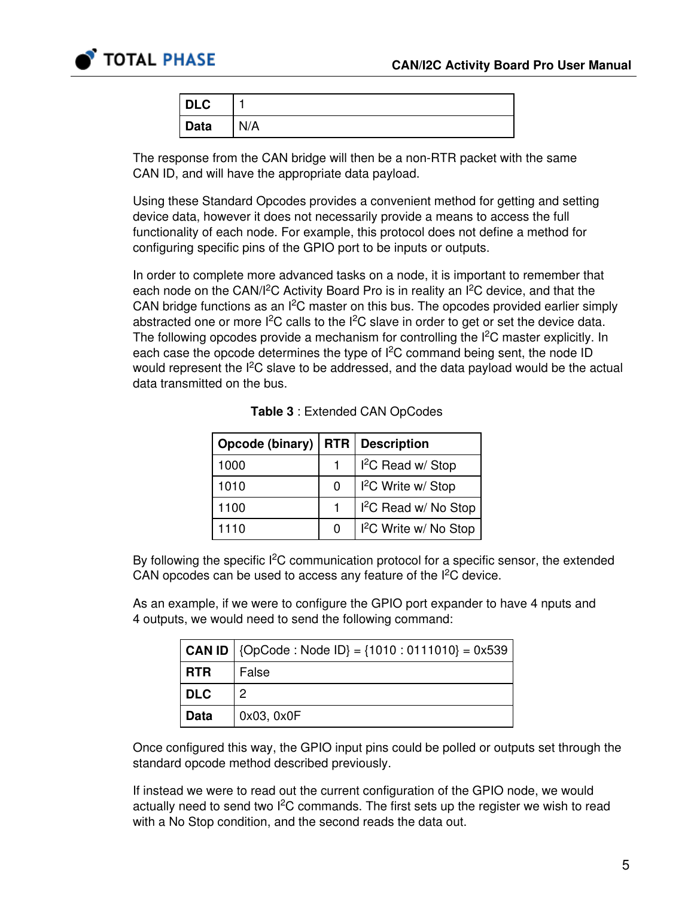

| <b>DLC</b>  |            |
|-------------|------------|
| <b>Data</b> | <b>N/A</b> |

The response from the CAN bridge will then be a non-RTR packet with the same CAN ID, and will have the appropriate data payload.

Using these Standard Opcodes provides a convenient method for getting and setting device data, however it does not necessarily provide a means to access the full functionality of each node. For example, this protocol does not define a method for configuring specific pins of the GPIO port to be inputs or outputs.

In order to complete more advanced tasks on a node, it is important to remember that each node on the CAN/I<sup>2</sup>C Activity Board Pro is in reality an I<sup>2</sup>C device, and that the CAN bridge functions as an  $I^2C$  master on this bus. The opcodes provided earlier simply abstracted one or more  $I^2C$  calls to the  $I^2C$  slave in order to get or set the device data. The following opcodes provide a mechanism for controlling the  $l^2C$  master explicitly. In each case the opcode determines the type of  $l^2C$  command being sent, the node ID would represent the  $I<sup>2</sup>C$  slave to be addressed, and the data payload would be the actual data transmitted on the bus.

<span id="page-4-0"></span>

| Opcode (binary) | <b>RTR</b> | <b>Description</b>                |
|-----------------|------------|-----------------------------------|
| 1000            |            | $I2C$ Read w/ Stop                |
| 1010            | 0          | I <sup>2</sup> C Write w/ Stop    |
| 1100            |            | $I2C$ Read w/ No Stop             |
| 1110            | 0          | I <sup>2</sup> C Write w/ No Stop |

By following the specific  $l^2C$  communication protocol for a specific sensor, the extended CAN opcodes can be used to access any feature of the  $I<sup>2</sup>C$  device.

As an example, if we were to configure the GPIO port expander to have 4 nputs and 4 outputs, we would need to send the following command:

|            | $ $ CAN ID $ $ {OpCode : Node ID} = {1010 : 0111010} = 0x539 |
|------------|--------------------------------------------------------------|
| <b>RTR</b> | False                                                        |
| DLC        |                                                              |
| Data       | 0x03, 0x0F                                                   |

Once configured this way, the GPIO input pins could be polled or outputs set through the standard opcode method described previously.

If instead we were to read out the current configuration of the GPIO node, we would actually need to send two  $I^2C$  commands. The first sets up the register we wish to read with a No Stop condition, and the second reads the data out.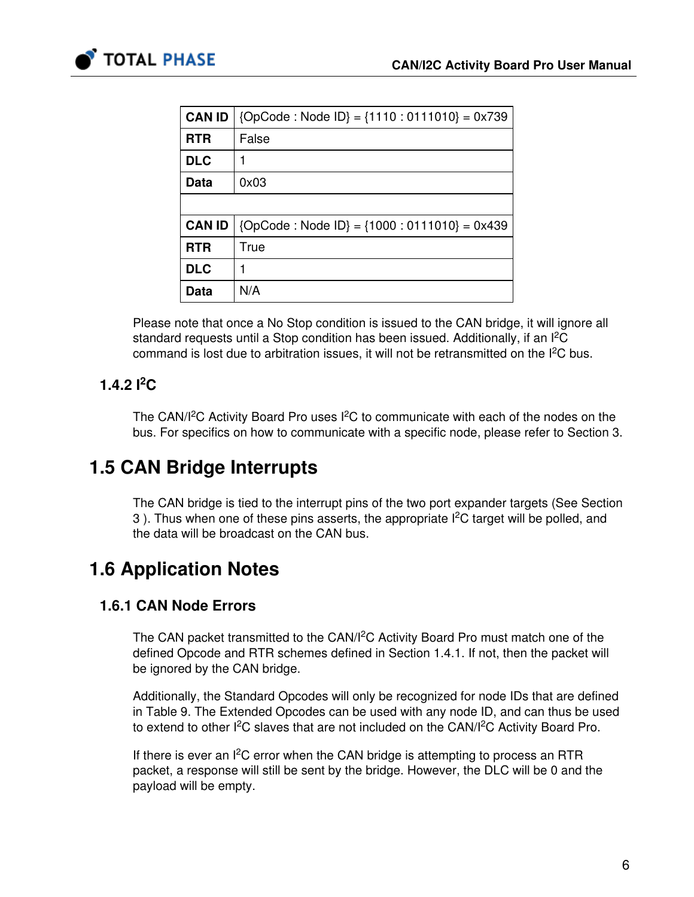

| <b>CAN ID</b> | ${OpCode:Node ID} = {1110:0111010} = 0x739$     |
|---------------|-------------------------------------------------|
| <b>RTR</b>    | False                                           |
| <b>DLC</b>    |                                                 |
| <b>Data</b>   | 0x03                                            |
|               |                                                 |
| <b>CAN ID</b> | ${OpCode : Node ID} = {1000 : 0111010} = 0x439$ |
| <b>RTR</b>    | True                                            |
| <b>DLC</b>    |                                                 |
| Data          | N/A                                             |

Please note that once a No Stop condition is issued to the CAN bridge, it will ignore all standard requests until a Stop condition has been issued. Additionally, if an  $l^2C$ command is lost due to arbitration issues, it will not be retransmitted on the  $I<sup>2</sup>C$  bus.

### 1.4.2  $1^2C$

The CAN/I<sup>2</sup>C Activity Board Pro uses I<sup>2</sup>C to communicate with each of the nodes on the bus. For specifics on how to communicate with a specific node, please refer to Section [3.](#page-12-0)

# 1.5 CAN Bridge Interrupts

The CAN bridge is tied to the interrupt pins of the two port expander targets (See Section [3](#page-12-0)). Thus when one of these pins asserts, the appropriate  $I<sup>2</sup>C$  target will be polled, and the data will be broadcast on the CAN bus.

# 1.6 Application Notes

### 1.6.1 CAN Node Errors

The CAN packet transmitted to the CAN/I<sup>2</sup>C Activity Board Pro must match one of the defined Opcode and RTR schemes defined in Section [1.4.1](#page-3-1). If not, then the packet will be ignored by the CAN bridge.

Additionally, the Standard Opcodes will only be recognized for node IDs that are defined in Table [9.](#page-12-1) The Extended Opcodes can be used with any node ID, and can thus be used to extend to other I<sup>2</sup>C slaves that are not included on the CAN/I<sup>2</sup>C Activity Board Pro.

If there is ever an  $I^2C$  error when the CAN bridge is attempting to process an RTR packet, a response will still be sent by the bridge. However, the DLC will be 0 and the payload will be empty.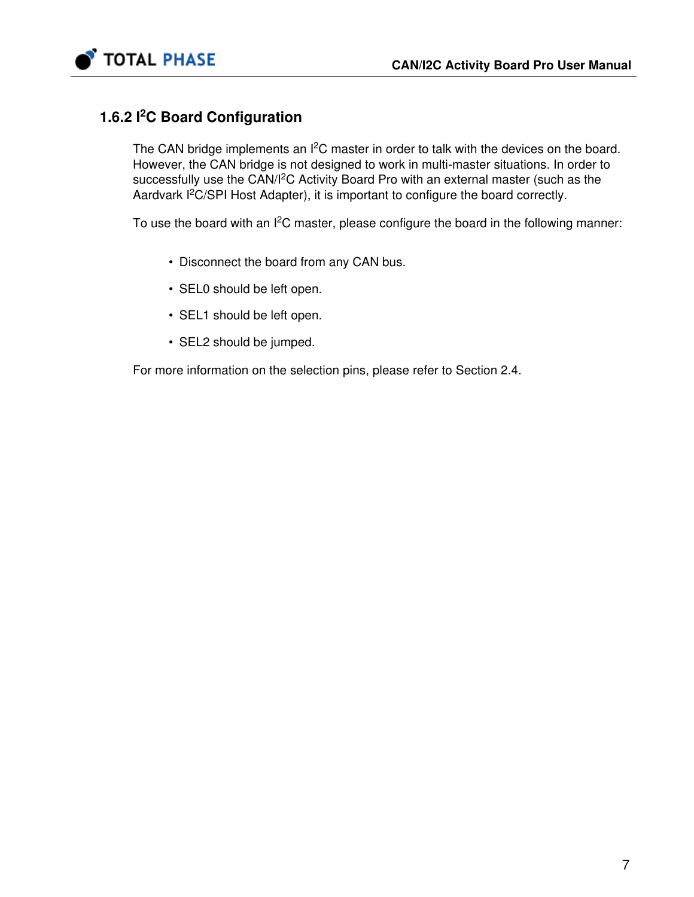

### 1.6.2 <sup>2</sup>C Board Configuration

The CAN bridge implements an  $I^2C$  master in order to talk with the devices on the board. However, the CAN bridge is not designed to work in multi-master situations. In order to successfully use the CAN/I<sup>2</sup>C Activity Board Pro with an external master (such as the Aardvark  $l^2C/SPI$  Host Adapter), it is important to configure the board correctly.

To use the board with an I<sup>2</sup>C master, please configure the board in the following manner:

- Disconnect the board from any CAN bus.
- SEL0 should be left open.
- SEL1 should be left open.
- SEL2 should be jumped.

For more information on the selection pins, please refer to Section [2.4](#page-8-0).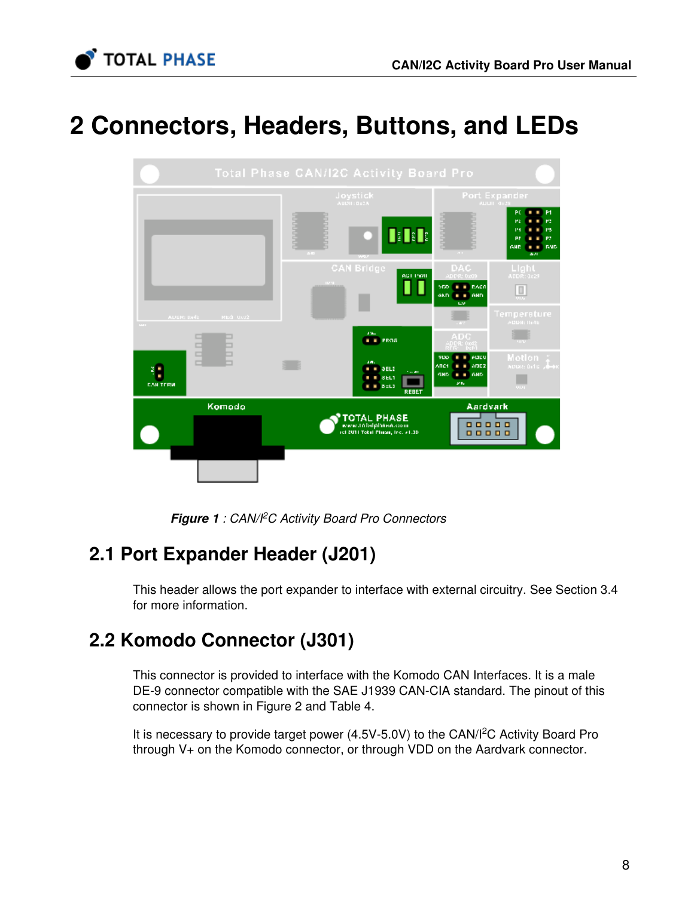

# 2 Connectors, Headers, Buttons, and LEDs



Figure 1: CAN/PC Activity Board Pro Connectors

# <span id="page-7-0"></span>2.1 Port Expander Header (J201)

This header allows the port expander to interface with external circuitry. See Section [3.4](#page-18-0) for more information.

# 2.2 Komodo Connector (J301)

This connector is provided to interface with the Komodo CAN Interfaces. It is a male DE-9 connector compatible with the SAE J1939 CAN-CIA standard. The pinout of this connector is shown in Figure [2](#page-8-1) and Table [4.](#page-8-2)

It is necessary to provide target power  $(4.5V-5.0V)$  to the CAN/I<sup>2</sup>C Activity Board Pro through V+ on the Komodo connector, or through VDD on the Aardvark connector.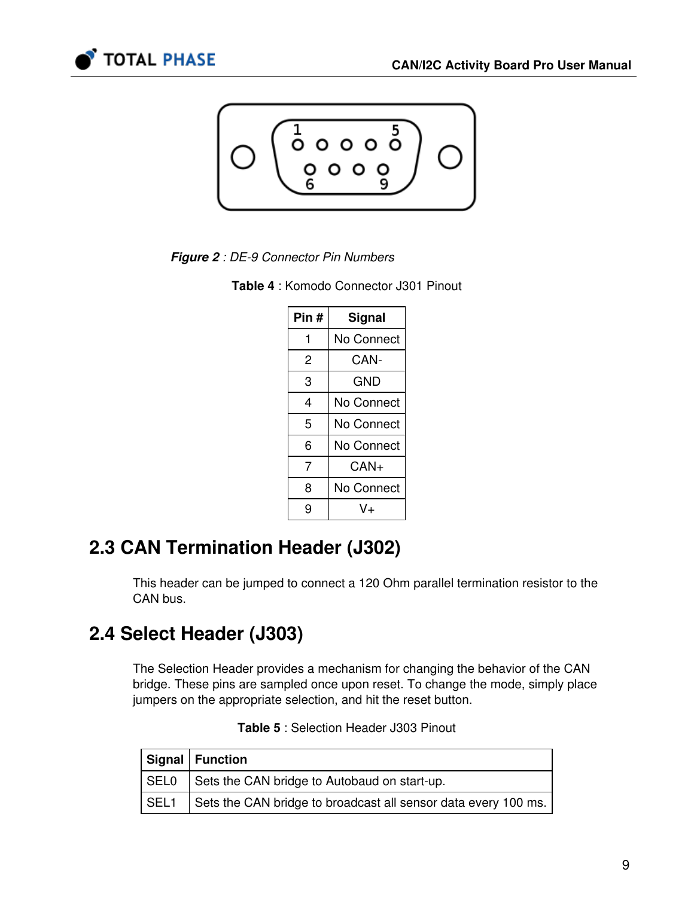<span id="page-8-1"></span>



**Figure 2** : DE-9 Connector Pin Numbers

<span id="page-8-2"></span>

|  |  | <b>Table 4: Komodo Connector J301 Pinout</b> |  |  |
|--|--|----------------------------------------------|--|--|
|--|--|----------------------------------------------|--|--|

| Pin# | Signal     |  |  |
|------|------------|--|--|
| 1    | No Connect |  |  |
| 2    | CAN-       |  |  |
| 3    | GND        |  |  |
| 4    | No Connect |  |  |
| 5    | No Connect |  |  |
| 6    | No Connect |  |  |
| 7    | $CAN+$     |  |  |
| 8    | No Connect |  |  |
| 9    | V+         |  |  |

# 2.3 CAN Termination Header (J302)

This header can be jumped to connect a 120 Ohm parallel termination resistor to the CAN bus.

# <span id="page-8-0"></span>2.4 Select Header (J303)

The Selection Header provides a mechanism for changing the behavior of the CAN bridge. These pins are sampled once upon reset. To change the mode, simply place jumpers on the appropriate selection, and hit the reset button.

|        | Signal   Function                                              |
|--------|----------------------------------------------------------------|
|        | SEL0 Sets the CAN bridge to Autobaud on start-up.              |
| l SEL1 | Sets the CAN bridge to broadcast all sensor data every 100 ms. |

|  | Table 5: Selection Header J303 Pinout |  |  |  |
|--|---------------------------------------|--|--|--|
|--|---------------------------------------|--|--|--|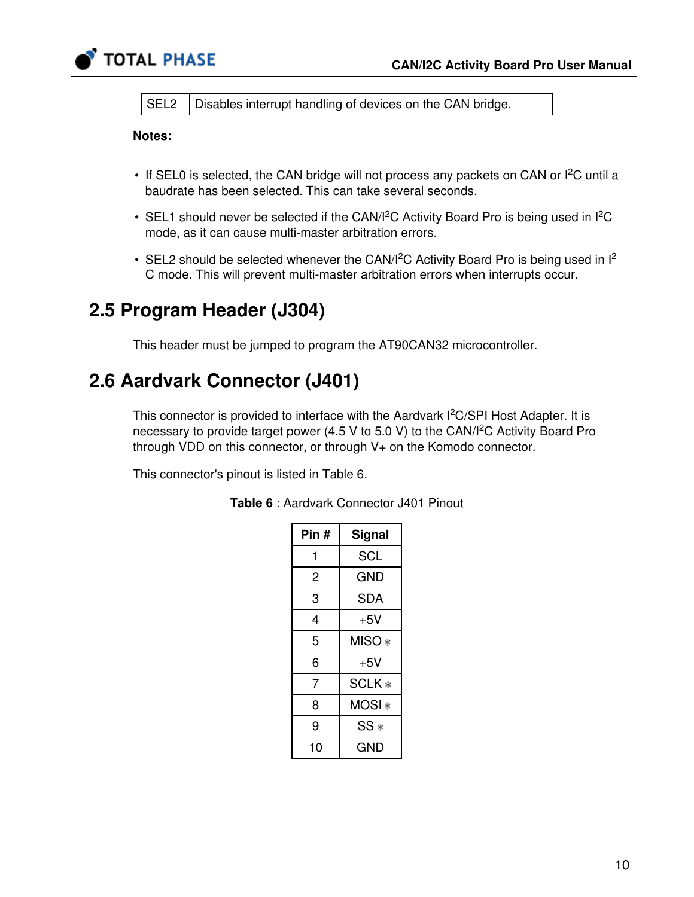

SEL2 | Disables interrupt handling of devices on the CAN bridge.

#### Notes:

- If SEL0 is selected, the CAN bridge will not process any packets on CAN or  $I^2C$  until a baudrate has been selected. This can take several seconds.
- SEL1 should never be selected if the CAN/I<sup>2</sup>C Activity Board Pro is being used in I<sup>2</sup>C mode, as it can cause multi-master arbitration errors.
- SEL2 should be selected whenever the CAN/I<sup>2</sup>C Activity Board Pro is being used in  $I^2$ C mode. This will prevent multi-master arbitration errors when interrupts occur.

### 2.5 Program Header (J304)

This header must be jumped to program the AT90CAN32 microcontroller.

# 2.6 Aardvark Connector (J401)

This connector is provided to interface with the Aardvark I<sup>2</sup>C/SPI Host Adapter. It is necessary to provide target power (4.5 V to 5.0 V) to the CAN/ $l^2$ C Activity Board Pro through VDD on this connector, or through V+ on the Komodo connector.

<span id="page-9-0"></span>This connector's pinout is listed in Table [6](#page-9-0).

| Pin # | Signal     |
|-------|------------|
| 1     | SCL        |
| 2     | GND        |
| 3     | <b>SDA</b> |
| 4     | $+5V$      |
| 5     | MISO *     |
| 6     | $+5V$      |
| 7     | SCLK *     |
| 8     | MOSI ∗     |
| 9     | $SS*$      |
| 10    | GND        |

Table 6 : Aardvark Connector J401 Pinout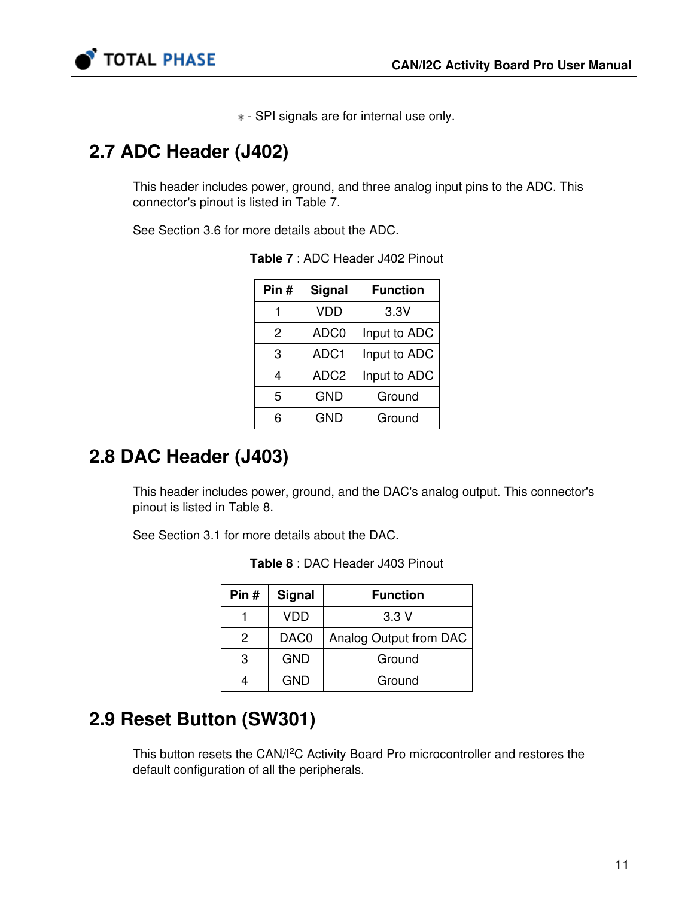

- SPI signals are for internal use only.

### 2.7 ADC Header (J402)

This header includes power, ground, and three analog input pins to the ADC. This connector's pinout is listed in Table [7](#page-10-0).

<span id="page-10-0"></span>See Section [3.6](#page-22-0) for more details about the ADC.

| Pin $#$         | <b>Signal</b>    | <b>Function</b> |  |
|-----------------|------------------|-----------------|--|
|                 | <b>VDD</b>       | 3.3V            |  |
| 2               | ADC0             | Input to ADC    |  |
| 3               | ADC1             | Input to ADC    |  |
| 4               | ADC <sub>2</sub> | Input to ADC    |  |
| 5<br><b>GND</b> |                  | Ground          |  |
| F               | <b>GND</b>       | Ground          |  |

Table 7 : ADC Header J402 Pinout

### 2.8 DAC Header (J403)

This header includes power, ground, and the DAC's analog output. This connector's pinout is listed in Table [8](#page-10-1).

<span id="page-10-1"></span>See Section [3.1](#page-12-2) for more details about the DAC.

| Pin# | <b>Signal</b>    | <b>Function</b>        |  |
|------|------------------|------------------------|--|
|      | VDD              | 3.3V                   |  |
| 2    | DAC <sub>0</sub> | Analog Output from DAC |  |
| 3    | <b>GND</b>       | Ground                 |  |
|      | <b>GND</b>       | Ground                 |  |

Table 8 : DAC Header J403 Pinout

# 2.9 Reset Button (SW301)

This button resets the CAN/I<sup>2</sup>C Activity Board Pro microcontroller and restores the default configuration of all the peripherals.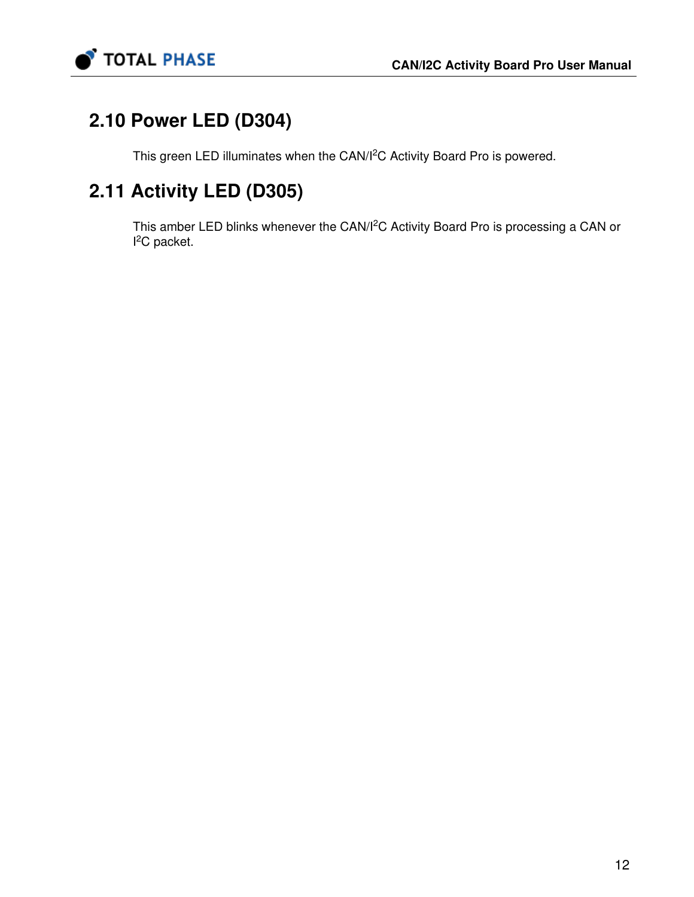

# 2.10 Power LED (D304)

This green LED illuminates when the CAN/I<sup>2</sup>C Activity Board Pro is powered.

# 2.11 Activity LED (D305)

This amber LED blinks whenever the CAN/<sup>2</sup>C Activity Board Pro is processing a CAN or  $l^2C$  packet.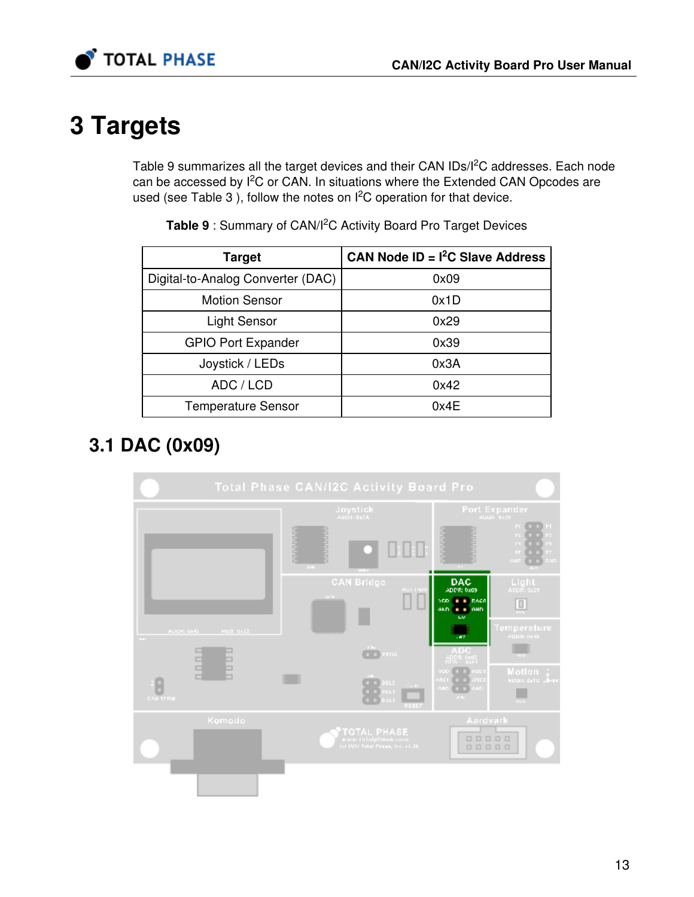

# <span id="page-12-0"></span>3 Targets

Table [9](#page-12-1) summarizes all the target devices and their CAN IDs/I<sup>2</sup>C addresses. Each node can be accessed by I<sup>2</sup>C or CAN. In situations where the Extended CAN Opcodes are used (see Table [3](#page-4-0)), follow the notes on  $l^2C$  operation for that device.

<span id="page-12-1"></span>

| <b>Target</b>                     | CAN Node $ID = I2C$ Slave Address |
|-----------------------------------|-----------------------------------|
| Digital-to-Analog Converter (DAC) | 0x09                              |
| <b>Motion Sensor</b>              | 0x1D                              |
| <b>Light Sensor</b>               | 0x29                              |
| <b>GPIO Port Expander</b>         | 0x39                              |
| Joystick / LEDs                   | 0x3A                              |
| ADC / LCD                         | 0x42                              |
| <b>Temperature Sensor</b>         | 0x4E                              |

Table 9: Summary of CAN/I<sup>2</sup>C Activity Board Pro Target Devices

# <span id="page-12-2"></span>3.1 DAC (0x09)

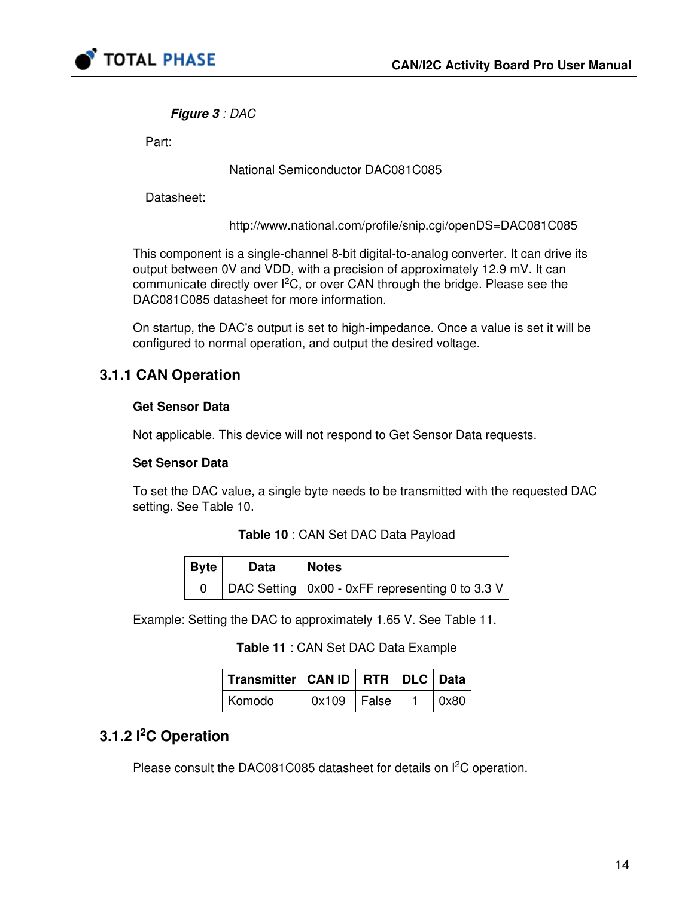

#### Figure 3 : DAC

Part:

#### National Semiconductor DAC081C085

Datasheet:

<http://www.national.com/profile/snip.cgi/openDS=DAC081C085>

This component is a single-channel 8-bit digital-to-analog converter. It can drive its output between 0V and VDD, with a precision of approximately 12.9 mV. It can communicate directly over  $l^2C$ , or over CAN through the bridge. Please see the DAC081C085 datasheet for more information.

On startup, the DAC's output is set to high-impedance. Once a value is set it will be configured to normal operation, and output the desired voltage.

### 3.1.1 CAN Operation

#### Get Sensor Data

Not applicable. This device will not respond to Get Sensor Data requests.

#### Set Sensor Data

<span id="page-13-0"></span>To set the DAC value, a single byte needs to be transmitted with the requested DAC setting. See Table [10](#page-13-0).

#### Table 10 : CAN Set DAC Data Payload

| $ $ Byte | Data | <b>Notes</b>                                      |
|----------|------|---------------------------------------------------|
|          |      | DAC Setting   0x00 - 0xFF representing 0 to 3.3 V |

<span id="page-13-1"></span>Example: Setting the DAC to approximately 1.65 V. See Table [11](#page-13-1).

| Transmitter   CAN ID   RTR   DLC   Data |                 |  |              |
|-----------------------------------------|-----------------|--|--------------|
| Komodo                                  | $0x109$   False |  | $\vert$ 0x80 |

### 3.1.2 I<sup>2</sup>C Operation

Please consult the DAC081C085 datasheet for details on  $I^2C$  operation.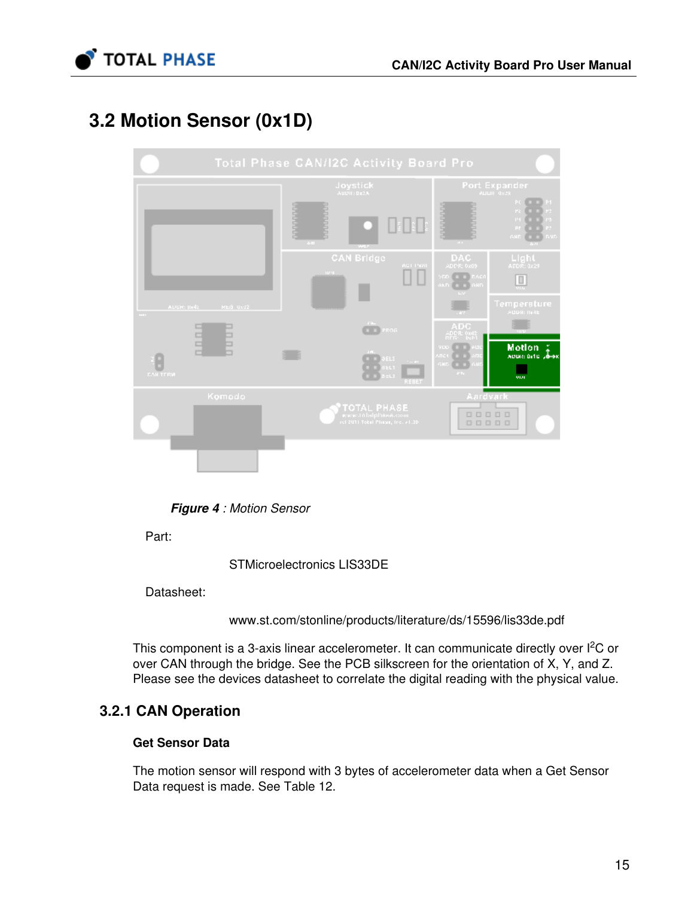

# 3.2 Motion Sensor (0x1D)



**Figure 4** : Motion Sensor

Part:

STMicroelectronics LIS33DE

Datasheet:

[www.st.com/stonline/products/literature/ds/15596/lis33de.pdf](http://www.st.com/stonline/products/literature/ds/15596/lis33de.pdf)

This component is a 3-axis linear accelerometer. It can communicate directly over l<sup>2</sup>C or over CAN through the bridge. See the PCB silkscreen for the orientation of X, Y, and Z. Please see the devices datasheet to correlate the digital reading with the physical value.

### 3.2.1 CAN Operation

#### Get Sensor Data

The motion sensor will respond with 3 bytes of accelerometer data when a Get Sensor Data request is made. See Table [12](#page-15-0).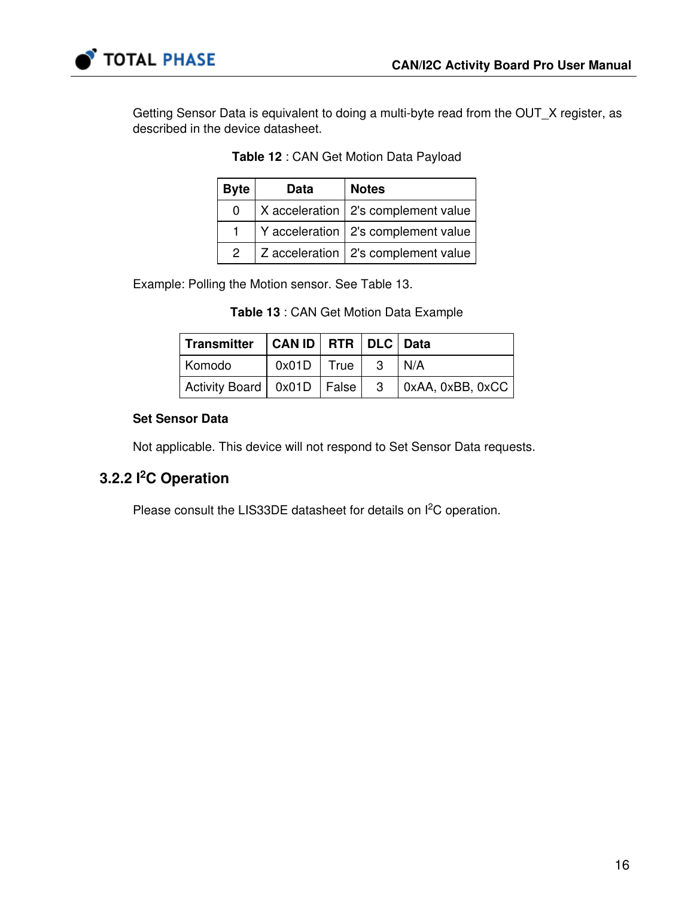

<span id="page-15-0"></span>Getting Sensor Data is equivalent to doing a multi-byte read from the OUT\_X register, as described in the device datasheet.

| <b>Byte</b>   | <b>Data</b> | <b>Notes</b>                          |  |
|---------------|-------------|---------------------------------------|--|
| 0             |             | X acceleration   2's complement value |  |
|               |             | Y acceleration   2's complement value |  |
| $\mathcal{P}$ |             | Z acceleration   2's complement value |  |

|  | Table 12 : CAN Get Motion Data Payload |  |  |  |
|--|----------------------------------------|--|--|--|
|--|----------------------------------------|--|--|--|

<span id="page-15-1"></span>Example: Polling the Motion sensor. See Table [13](#page-15-1).

|  |  |  | Table 13 : CAN Get Motion Data Example |
|--|--|--|----------------------------------------|
|--|--|--|----------------------------------------|

| Transmitter   CAN ID   RTR   DLC   Data |                |     |                          |
|-----------------------------------------|----------------|-----|--------------------------|
| Komodo                                  | $0x01D$   True | -3  | I N/A                    |
| Activity Board   0x01D   False          |                | - 3 | $\vert$ 0xAA, 0xBB, 0xCC |

#### Set Sensor Data

Not applicable. This device will not respond to Set Sensor Data requests.

### 3.2.2 I<sup>2</sup>C Operation

Please consult the LIS33DE datasheet for details on  $I^2C$  operation.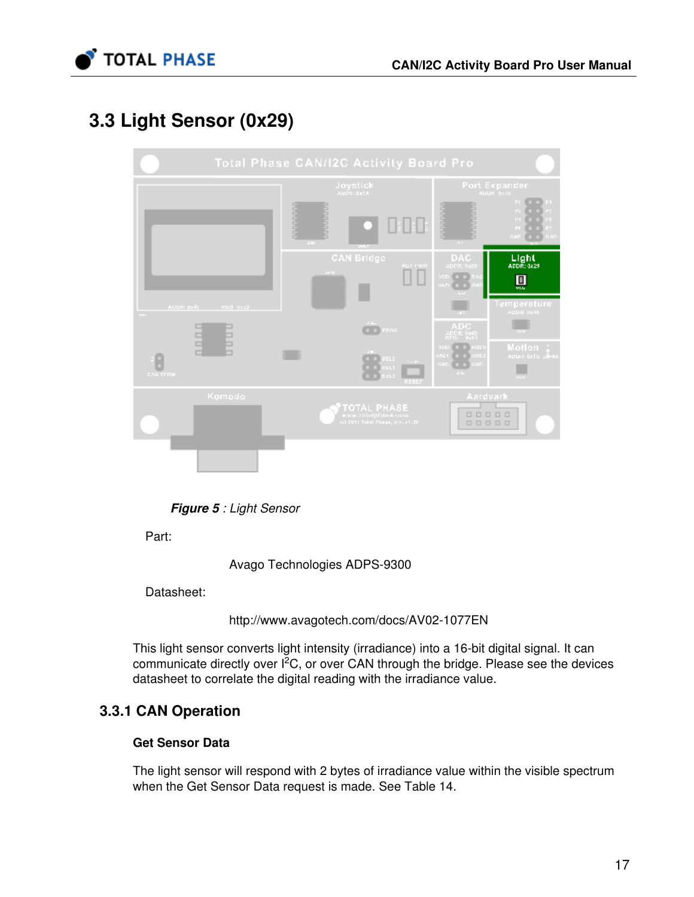

# 3.3 Light Sensor (0x29)



**Figure 5** : Light Sensor

Part:

Avago Technologies ADPS-9300

Datasheet:

<http://www.avagotech.com/docs/AV02-1077EN>

This light sensor converts light intensity (irradiance) into a 16-bit digital signal. It can communicate directly over  $l^2C$ , or over CAN through the bridge. Please see the devices datasheet to correlate the digital reading with the irradiance value.

### 3.3.1 CAN Operation

#### Get Sensor Data

The light sensor will respond with 2 bytes of irradiance value within the visible spectrum when the Get Sensor Data request is made. See Table [14.](#page-17-0)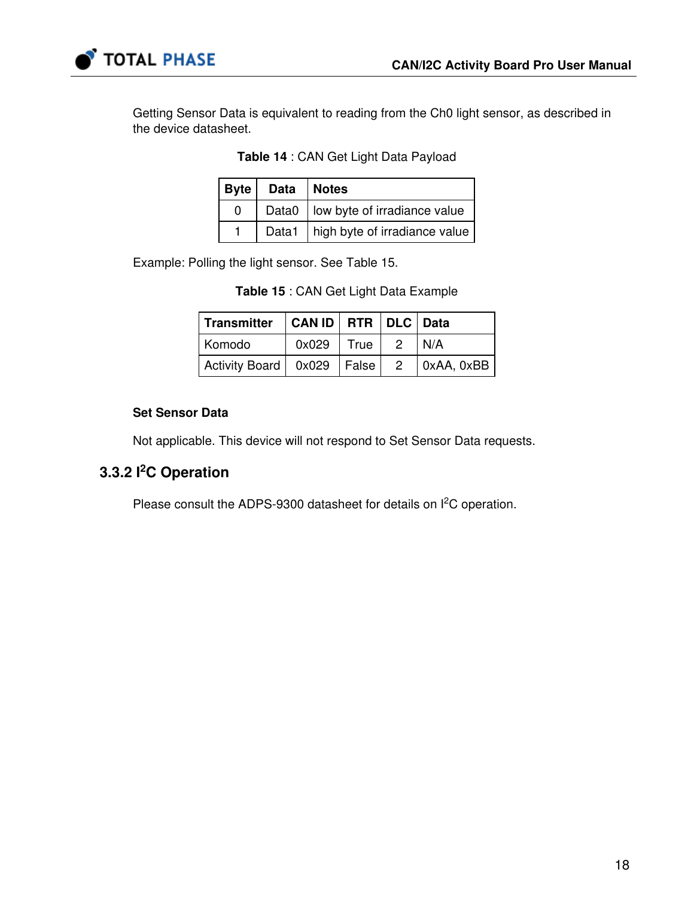

<span id="page-17-0"></span>Getting Sensor Data is equivalent to reading from the Ch0 light sensor, as described in the device datasheet.

| Table 14 : CAN Get Light Data Payload |  |  |  |  |  |  |  |
|---------------------------------------|--|--|--|--|--|--|--|
|---------------------------------------|--|--|--|--|--|--|--|

|   | Byte   Data   Notes |                                      |  |
|---|---------------------|--------------------------------------|--|
| ŋ |                     | Data0   low byte of irradiance value |  |
|   |                     | Data1 high byte of irradiance value  |  |

<span id="page-17-1"></span>Example: Polling the light sensor. See Table [15](#page-17-1).

| Table 15 : CAN Get Light Data Example |  |
|---------------------------------------|--|
|---------------------------------------|--|

| Transmitter   CAN ID   RTR   DLC   Data |                |                |                     |
|-----------------------------------------|----------------|----------------|---------------------|
| Komodo                                  | $0x029$   True | $\overline{2}$ | l N/A               |
| Activity Board   0x029   False          |                |                | $2 \mid 0xAA, 0xBB$ |

#### Set Sensor Data

Not applicable. This device will not respond to Set Sensor Data requests.

### 3.3.2 I<sup>2</sup>C Operation

Please consult the ADPS-9300 datasheet for details on  $I<sup>2</sup>C$  operation.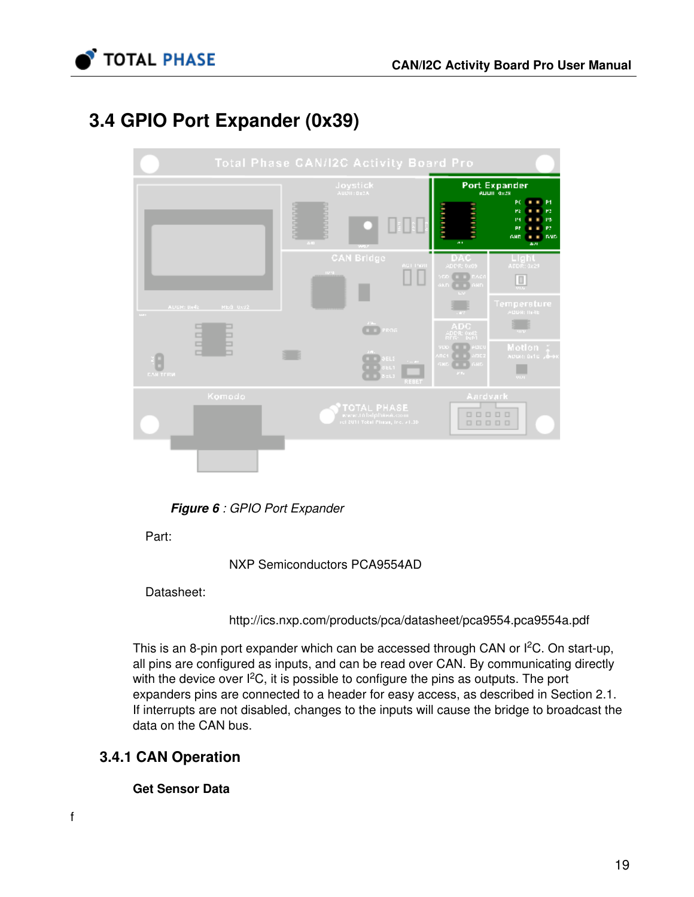

# <span id="page-18-0"></span>3.4 GPIO Port Expander (0x39)



**Figure 6** : GPIO Port Expander

Part:

NXP Semiconductors PCA9554AD

Datasheet:

<http://ics.nxp.com/products/pca/datasheet/pca9554.pca9554a.pdf>

This is an 8-pin port expander which can be accessed through CAN or I<sup>2</sup>C. On start-up, all pins are configured as inputs, and can be read over CAN. By communicating directly with the device over  $I^2C$ , it is possible to configure the pins as outputs. The port expanders pins are connected to a header for easy access, as described in Section [2.1](#page-7-0). If interrupts are not disabled, changes to the inputs will cause the bridge to broadcast the data on the CAN bus.

### 3.4.1 CAN Operation

Get Sensor Data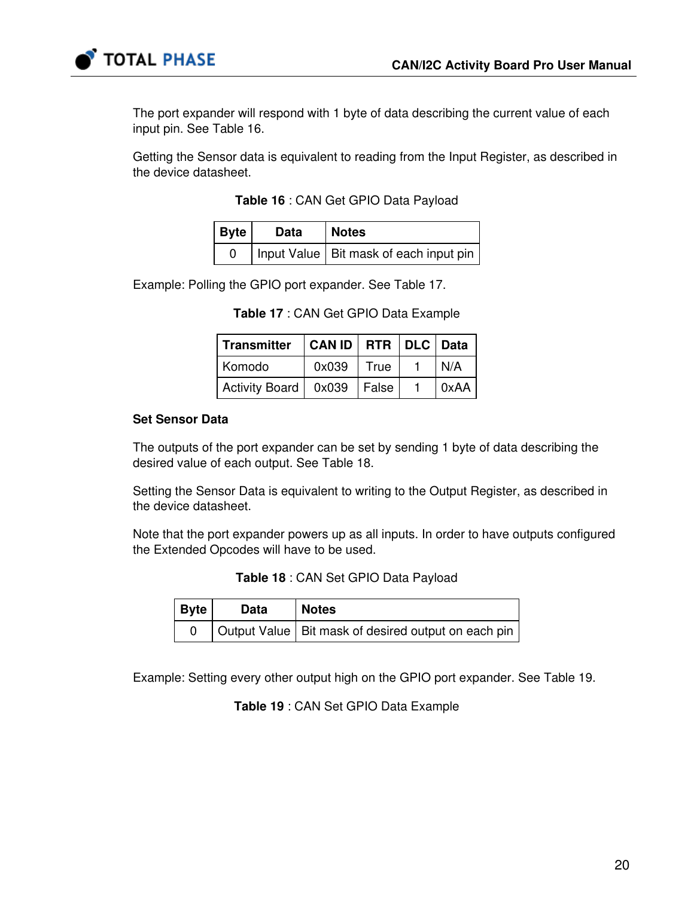



The port expander will respond with 1 byte of data describing the current value of each input pin. See Table [16](#page-19-0).

<span id="page-19-0"></span>Getting the Sensor data is equivalent to reading from the Input Register, as described in the device datasheet.

|  |  | Table 16 : CAN Get GPIO Data Payload |  |  |
|--|--|--------------------------------------|--|--|
|--|--|--------------------------------------|--|--|

| $ $ Byte $ $ | <b>Data</b> | Notes                                    |
|--------------|-------------|------------------------------------------|
|              |             | Input Value   Bit mask of each input pin |

<span id="page-19-1"></span>Example: Polling the GPIO port expander. See Table [17.](#page-19-1)

| <b>Transmitter</b>             | CAN ID   RTR   DLC   Data |      |      |
|--------------------------------|---------------------------|------|------|
| Komodo                         | 0x039                     | True | N/A  |
| Activity Board   0x039   False |                           |      | 0xAA |

Table 17 : CAN Get GPIO Data Example

#### Set Sensor Data

The outputs of the port expander can be set by sending 1 byte of data describing the desired value of each output. See Table [18](#page-19-2).

Setting the Sensor Data is equivalent to writing to the Output Register, as described in the device datasheet.

<span id="page-19-2"></span>Note that the port expander powers up as all inputs. In order to have outputs configured the Extended Opcodes will have to be used.

|  |  | Table 18 : CAN Set GPIO Data Payload |  |
|--|--|--------------------------------------|--|
|--|--|--------------------------------------|--|

| $ $ Byte | Data | <b>Notes</b>                                          |
|----------|------|-------------------------------------------------------|
|          |      | Output Value   Bit mask of desired output on each pin |

<span id="page-19-3"></span>Example: Setting every other output high on the GPIO port expander. See Table [19.](#page-19-3)

Table 19 : CAN Set GPIO Data Example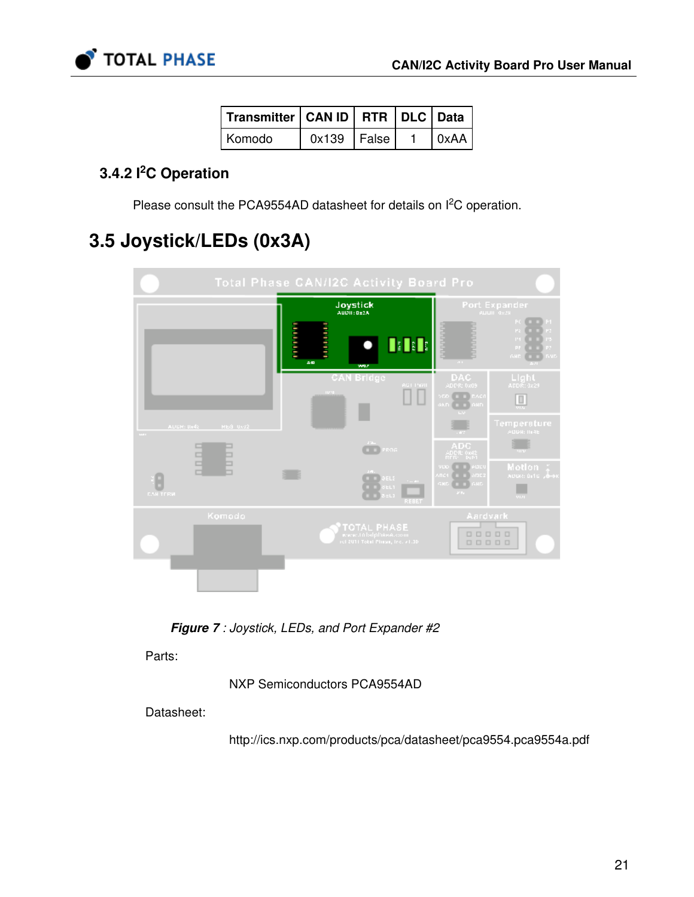

| Transmitter   CAN ID   RTR   DLC   Data |                 |  |              |
|-----------------------------------------|-----------------|--|--------------|
| Komodo                                  | $0x139$   False |  | $\vert$ 0xAA |

### 3.4.2 I<sup>2</sup>C Operation

Please consult the PCA9554AD datasheet for details on  $l^2C$  operation.

# 3.5 Joystick/LEDs (0x3A)



Figure 7 : Joystick, LEDs, and Port Expander #2

Parts:

NXP Semiconductors PCA9554AD

Datasheet:

<http://ics.nxp.com/products/pca/datasheet/pca9554.pca9554a.pdf>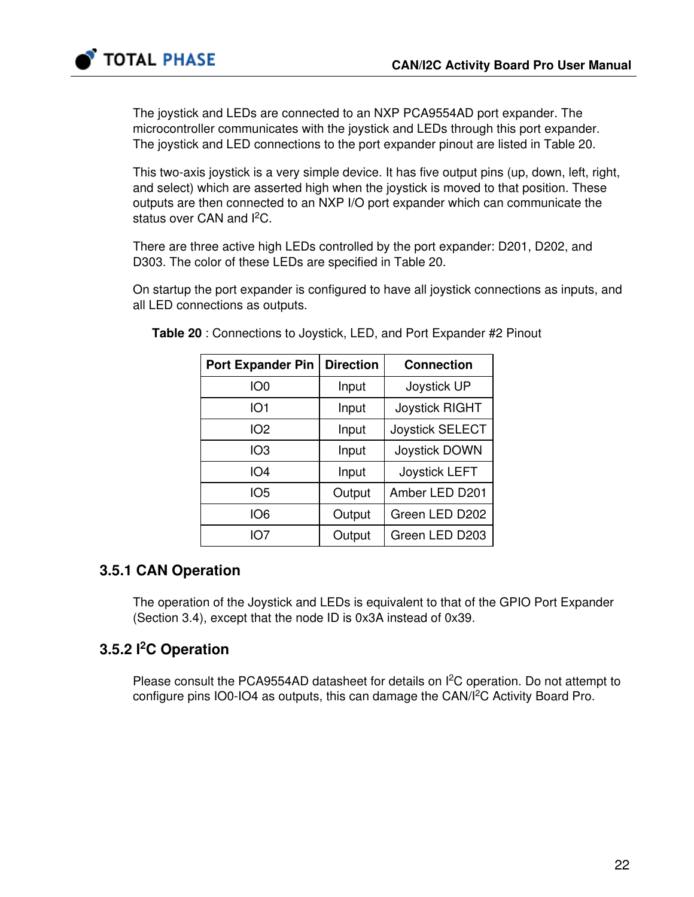

The joystick and LEDs are connected to an NXP PCA9554AD port expander. The microcontroller communicates with the joystick and LEDs through this port expander. The joystick and LED connections to the port expander pinout are listed in Table [20.](#page-21-0)

This two-axis joystick is a very simple device. It has five output pins (up, down, left, right, and select) which are asserted high when the joystick is moved to that position. These outputs are then connected to an NXP I/O port expander which can communicate the status over CAN and I<sup>2</sup>C.

There are three active high LEDs controlled by the port expander: D201, D202, and D303. The color of these LEDs are specified in Table [20.](#page-21-0)

<span id="page-21-0"></span>On startup the port expander is configured to have all joystick connections as inputs, and all LED connections as outputs.

| <b>Port Expander Pin</b> | <b>Direction</b> | <b>Connection</b>      |
|--------------------------|------------------|------------------------|
| IO <sub>0</sub>          | Input            | Joystick UP            |
| IO <sub>1</sub>          | Input            | <b>Joystick RIGHT</b>  |
| IO <sub>2</sub>          | Input            | <b>Joystick SELECT</b> |
| IO <sub>3</sub>          | Input            | Joystick DOWN          |
| IO <sub>4</sub>          | Input            | <b>Joystick LEFT</b>   |
| IO <sub>5</sub>          | Output           | Amber LED D201         |
| IO <sub>6</sub>          | Output           | Green LED D202         |
| IO7                      | Output           | Green LED D203         |

Table 20 : Connections to Joystick, LED, and Port Expander #2 Pinout

### 3.5.1 CAN Operation

The operation of the Joystick and LEDs is equivalent to that of the GPIO Port Expander (Section [3.4\)](#page-18-0), except that the node ID is 0x3A instead of 0x39.

### 3.5.2 I<sup>2</sup>C Operation

Please consult the PCA9554AD datasheet for details on  $I<sup>2</sup>C$  operation. Do not attempt to configure pins IO0-IO4 as outputs, this can damage the CAN/I<sup>2</sup>C Activity Board Pro.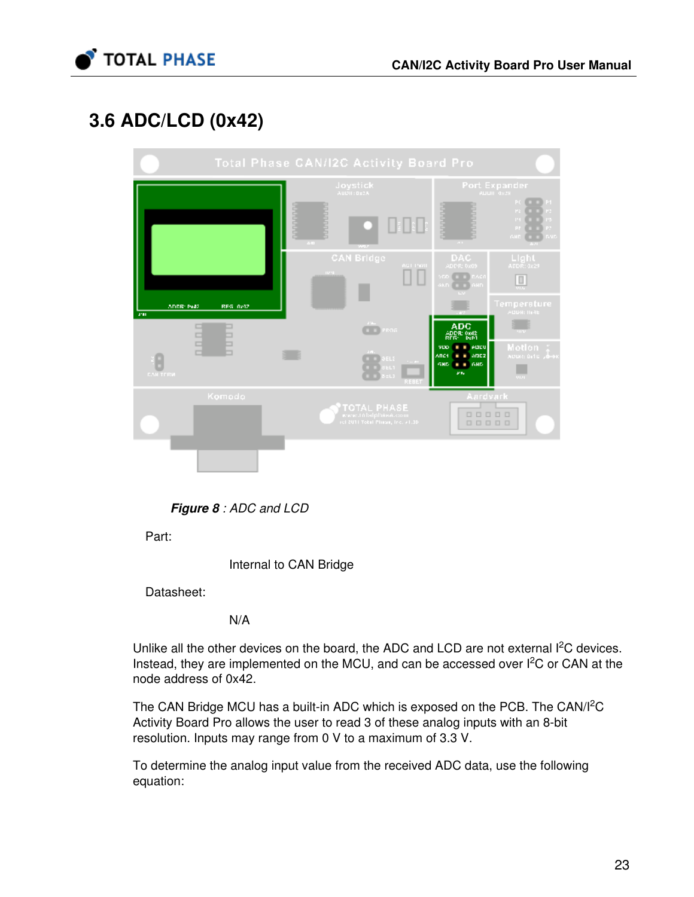

# <span id="page-22-0"></span>3.6 ADC/LCD (0x42)



Figure 8 : ADC and LCD

Part:

Internal to CAN Bridge

Datasheet:

N/A

Unlike all the other devices on the board, the ADC and LCD are not external I<sup>2</sup>C devices. Instead, they are implemented on the MCU, and can be accessed over  $I<sup>2</sup>C$  or CAN at the node address of 0x42.

The CAN Bridge MCU has a built-in ADC which is exposed on the PCB. The CAN/I<sup>2</sup>C Activity Board Pro allows the user to read 3 of these analog inputs with an 8-bit resolution. Inputs may range from 0 V to a maximum of 3.3 V.

To determine the analog input value from the received ADC data, use the following equation: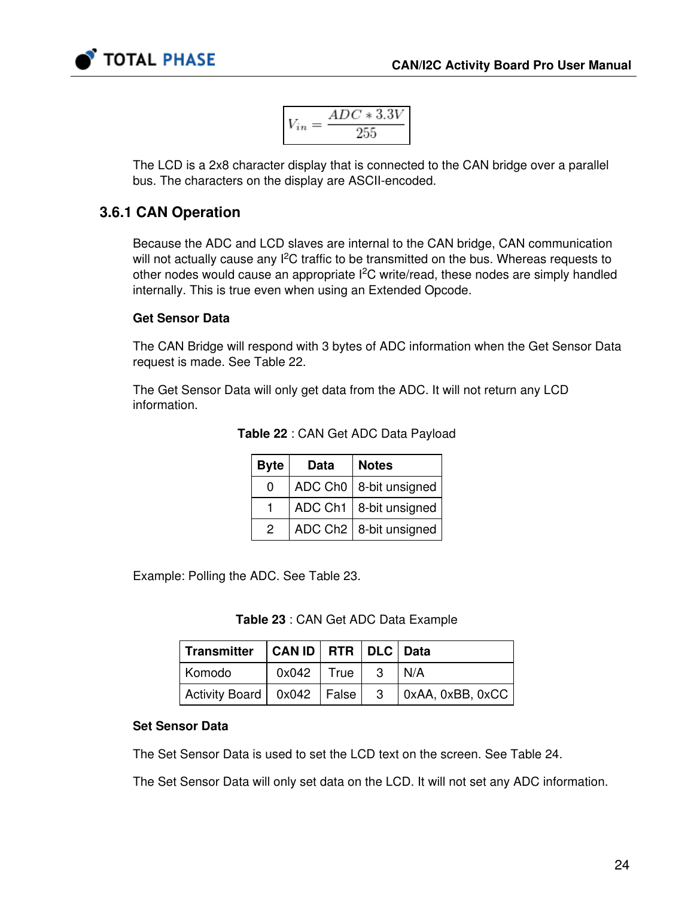

$$
V_{in}=\frac{ADC*3.3V}{255}
$$

The LCD is a 2x8 character display that is connected to the CAN bridge over a parallel bus. The characters on the display are ASCII-encoded.

### 3.6.1 CAN Operation

Because the ADC and LCD slaves are internal to the CAN bridge, CAN communication will not actually cause any  $I<sup>2</sup>C$  traffic to be transmitted on the bus. Whereas requests to other nodes would cause an appropriate  $I^2C$  write/read, these nodes are simply handled internally. This is true even when using an Extended Opcode.

#### Get Sensor Data

The CAN Bridge will respond with 3 bytes of ADC information when the Get Sensor Data request is made. See Table [22](#page-23-0).

<span id="page-23-0"></span>The Get Sensor Data will only get data from the ADC. It will not return any LCD information.

| <b>Byte</b> | <b>Data</b> | <b>Notes</b>                         |
|-------------|-------------|--------------------------------------|
| 0           |             | ADC Ch0   8-bit unsigned             |
|             |             | ADC Ch1 $ 8$ -bit unsigned           |
| 2           |             | ADC Ch <sub>2</sub>   8-bit unsigned |

Table 22 : CAN Get ADC Data Payload

<span id="page-23-1"></span>Example: Polling the ADC. See Table [23](#page-23-1).

Table 23 : CAN Get ADC Data Example

| Transmitter   CAN ID   RTR   DLC   Data |                                |  |                                                       |
|-----------------------------------------|--------------------------------|--|-------------------------------------------------------|
| Komodo                                  | $\vert$ 0x042   True   3   N/A |  |                                                       |
|                                         |                                |  | Activity Board   0x042   False   3   0xAA, 0xBB, 0xCC |

#### Set Sensor Data

The Set Sensor Data is used to set the LCD text on the screen. See Table [24](#page-24-0).

The Set Sensor Data will only set data on the LCD. It will not set any ADC information.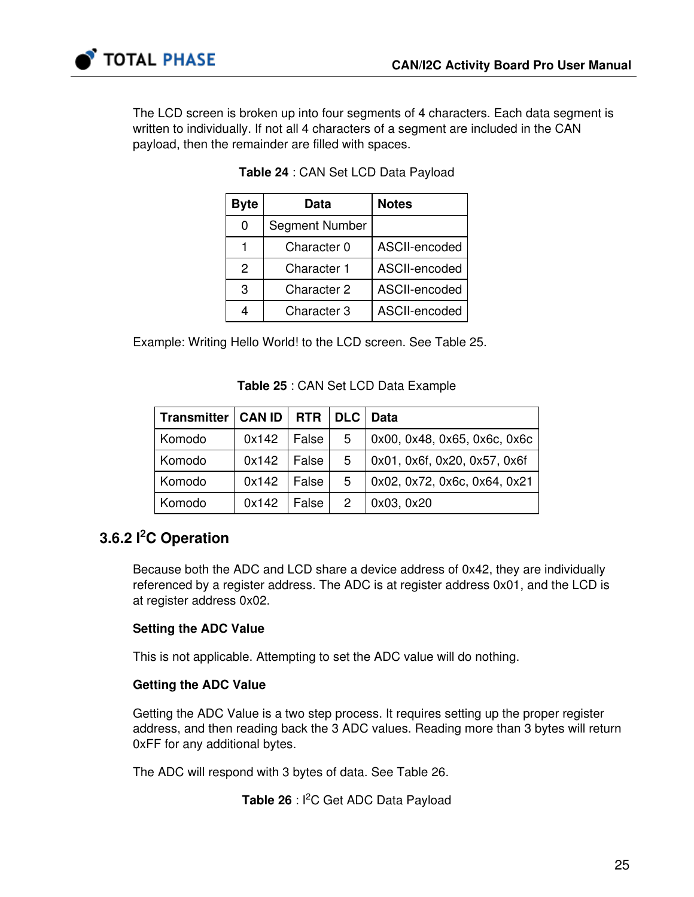

<span id="page-24-0"></span>The LCD screen is broken up into four segments of 4 characters. Each data segment is written to individually. If not all 4 characters of a segment are included in the CAN payload, then the remainder are filled with spaces.

| <b>Byte</b> | Data                  | <b>Notes</b>  |
|-------------|-----------------------|---------------|
| 0           | <b>Segment Number</b> |               |
|             | Character 0           | ASCII-encoded |
| 2           | <b>Character 1</b>    | ASCII-encoded |
| 3           | <b>Character 2</b>    | ASCII-encoded |
|             | Character 3           | ASCII-encoded |

|  |  | Table 24 : CAN Set LCD Data Payload |
|--|--|-------------------------------------|
|--|--|-------------------------------------|

<span id="page-24-1"></span>Example: Writing Hello World! to the LCD screen. See Table [25.](#page-24-1)

#### Table 25 : CAN Set LCD Data Example

| Transmitter | <b>CAN ID</b> | <b>RTR</b> | DLC           | <b>Data</b>                  |
|-------------|---------------|------------|---------------|------------------------------|
| Komodo      | 0x142         | False      | 5             | 0x00, 0x48, 0x65, 0x6c, 0x6c |
| Komodo      | 0x142         | False      | 5             | 0x01, 0x6f, 0x20, 0x57, 0x6f |
| Komodo      | 0x142         | False      | 5             | 0x02, 0x72, 0x6c, 0x64, 0x21 |
| Komodo      | 0x142         | False I    | $\mathcal{P}$ | 0x03, 0x20                   |

### 3.6.2 I<sup>2</sup>C Operation

Because both the ADC and LCD share a device address of 0x42, they are individually referenced by a register address. The ADC is at register address 0x01, and the LCD is at register address 0x02.

#### Setting the ADC Value

This is not applicable. Attempting to set the ADC value will do nothing.

#### Getting the ADC Value

Getting the ADC Value is a two step process. It requires setting up the proper register address, and then reading back the 3 ADC values. Reading more than 3 bytes will return 0xFF for any additional bytes.

<span id="page-24-2"></span>The ADC will respond with 3 bytes of data. See Table [26](#page-24-2).

Table 26 : I<sup>2</sup>C Get ADC Data Payload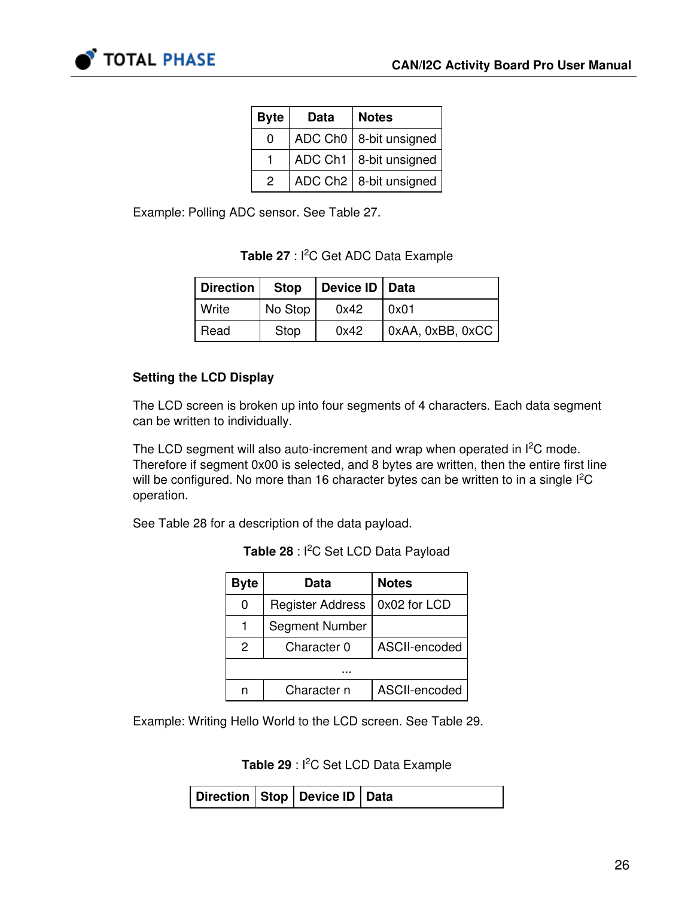

| <b>Byte</b> | Data | <b>Notes</b>             |
|-------------|------|--------------------------|
| O           |      | ADC Ch0   8-bit unsigned |
|             |      | ADC Ch1   8-bit unsigned |
| 2           |      | ADC Ch2   8-bit unsigned |

<span id="page-25-0"></span>Example: Polling ADC sensor. See Table [27](#page-25-0).

| <b>Table 27</b> : I <sup>2</sup> C Get ADC Data Example |  |
|---------------------------------------------------------|--|
|                                                         |  |

| <b>Direction</b> | <b>Stop</b> | Device ID   Data |                  |
|------------------|-------------|------------------|------------------|
| Write            | No Stop     | 0x42             | 0x01             |
| Read             | Stop        | 0x42             | 0xAA, 0xBB, 0xCC |

#### Setting the LCD Display

The LCD screen is broken up into four segments of 4 characters. Each data segment can be written to individually.

The LCD segment will also auto-increment and wrap when operated in  $I<sup>2</sup>C$  mode. Therefore if segment 0x00 is selected, and 8 bytes are written, then the entire first line will be configured. No more than 16 character bytes can be written to in a single  $l^2C$ operation.

<span id="page-25-1"></span>See Table [28](#page-25-1) for a description of the data payload.

| <b>Byte</b> | Data                    | <b>Notes</b>  |
|-------------|-------------------------|---------------|
| 0           | <b>Register Address</b> | 0x02 for LCD  |
|             | Segment Number          |               |
| 2           | Character 0             | ASCII-encoded |
|             |                         |               |
|             | Character n             | ASCII-encoded |

Table 28 : I<sup>2</sup>C Set LCD Data Payload

<span id="page-25-2"></span>Example: Writing Hello World to the LCD screen. See Table [29.](#page-25-2)

Table 29 : l<sup>2</sup>C Set LCD Data Example

| Direction   Stop   Device ID   Data |  |  |
|-------------------------------------|--|--|
|-------------------------------------|--|--|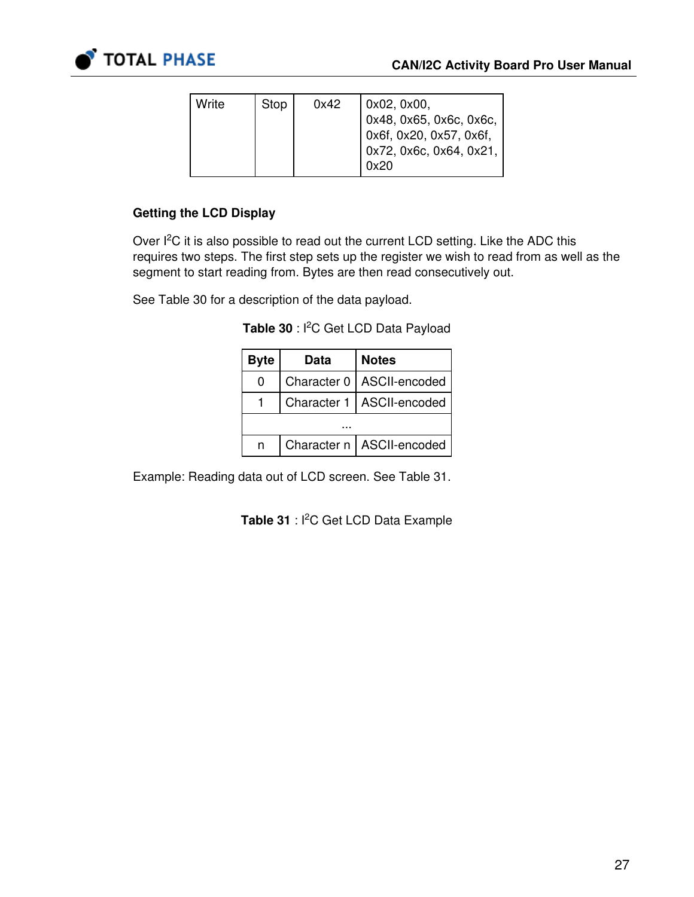

| Write | Stop | 0x42 | 0x02, 0x00,<br>$\vert$ 0x48, 0x65, 0x6c, 0x6c,<br>l 0x6f, 0x20, 0x57, 0x6f,<br>  0x72, 0x6c, 0x64, 0x21, |
|-------|------|------|----------------------------------------------------------------------------------------------------------|
|       |      |      | 0x20                                                                                                     |

#### Getting the LCD Display

Over  $I<sup>2</sup>C$  it is also possible to read out the current LCD setting. Like the ADC this requires two steps. The first step sets up the register we wish to read from as well as the segment to start reading from. Bytes are then read consecutively out.

<span id="page-26-0"></span>See Table [30](#page-26-0) for a description of the data payload.

| <b>Byte</b> | Data | <b>Notes</b>                |  |
|-------------|------|-----------------------------|--|
| 0           |      | Character 0   ASCII-encoded |  |
|             |      | Character 1   ASCII-encoded |  |
|             |      |                             |  |
|             |      | Character n   ASCII-encoded |  |

Table 30 : l<sup>2</sup>C Get LCD Data Payload

<span id="page-26-1"></span>Example: Reading data out of LCD screen. See Table [31.](#page-26-1)

Table 31 : I<sup>2</sup>C Get LCD Data Example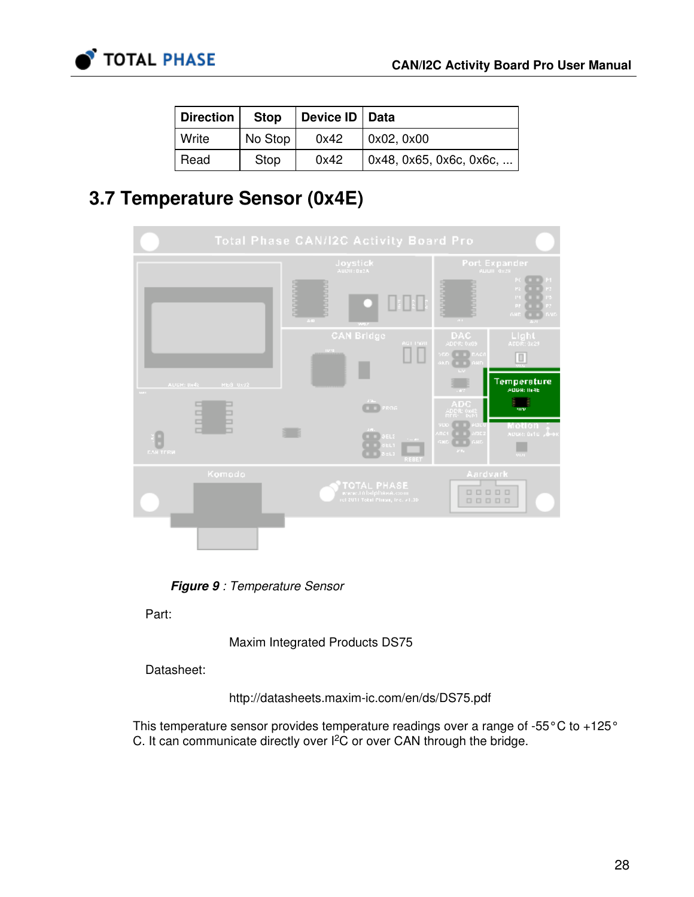

| Direction    | <b>Stop</b> | Device ID   Data |                                 |
|--------------|-------------|------------------|---------------------------------|
| <b>Write</b> | No Stop     | 0x42             | $\vert$ 0x02, 0x00              |
| Read         | Stop        | 0x42             | $\vert$ 0x48, 0x65, 0x6c, 0x6c, |

### 3.7 Temperature Sensor (0x4E)

| <b>Total Phase CAN/I2C Activity Board Pro</b> |               |                                                          |                                                                                                              |  |  |
|-----------------------------------------------|---------------|----------------------------------------------------------|--------------------------------------------------------------------------------------------------------------|--|--|
|                                               |               | Joystick                                                 | Port Expander                                                                                                |  |  |
|                                               |               | $\mathcal{L}(\mathbf{H})$                                | P1<br>PC<br>P3<br>P2<br>≖<br>$\mathbf{P}$<br>PS.<br><b>PI</b><br>73<br><b>GHD</b><br><b>GMD</b><br>$\sim 10$ |  |  |
|                                               |               | <b>CAN Bridge</b><br>AGT PRID<br><b>TOM</b>              | DAC<br>Llaht<br>ADDR: 0x09<br>ADDR: 1x29<br>VED E E BAC<br>aknil<br>m<br><b>GHD</b>                          |  |  |
| AUDR: 0x45<br>$\frac{1}{2}$                   | REG UNI2      |                                                          | Temperature<br>ADDR: IN4E                                                                                    |  |  |
|                                               | $\frac{1}{1}$ | $\sim 10\,M_{\odot}$<br>PROG                             | mν                                                                                                           |  |  |
| <b>CARTERN</b>                                |               | BELS.<br><b>EL1</b><br>$-1$<br>REBET                     | Tо<br>ים בו<br>Motion<br>ADDR: 0110 June<br>snoi<br><b>ADC</b><br><b>GMD</b><br>GHD<br><b>SCRA</b><br>9121.  |  |  |
|                                               | Komodo        | <b>TOTAL PHASE</b><br>(of 2011 Total Pliasa, Inc. #1.10) | Aardvark<br>00000<br>00000                                                                                   |  |  |
|                                               |               |                                                          |                                                                                                              |  |  |

Figure 9 : Temperature Sensor

Part:

Maxim Integrated Products DS75

Datasheet:

<http://datasheets.maxim-ic.com/en/ds/DS75.pdf>

This temperature sensor provides temperature readings over a range of -55°C to +125° C. It can communicate directly over  $l^2C$  or over CAN through the bridge.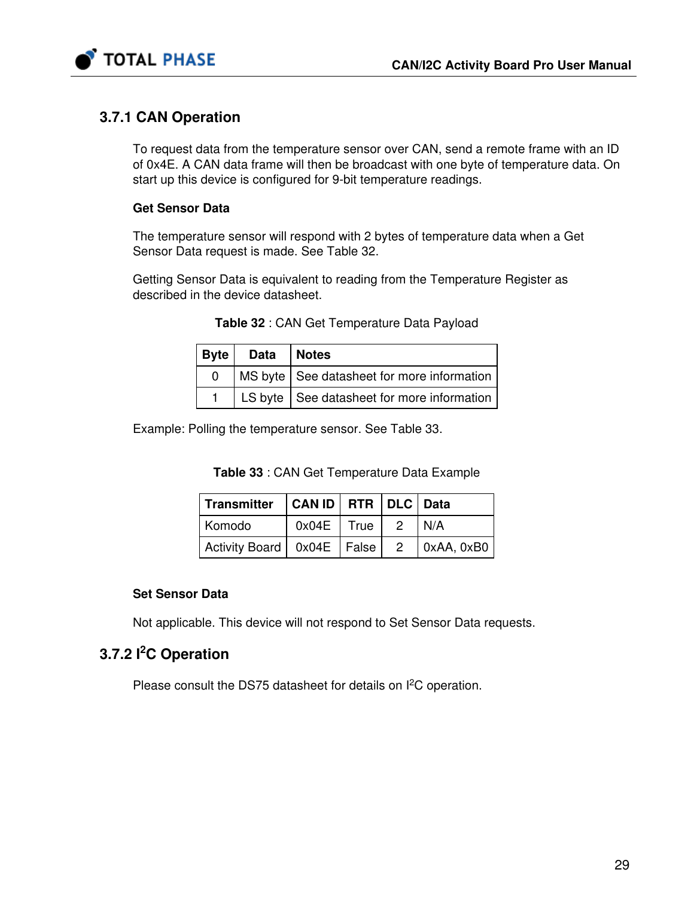

### 3.7.1 CAN Operation

To request data from the temperature sensor over CAN, send a remote frame with an ID of 0x4E. A CAN data frame will then be broadcast with one byte of temperature data. On start up this device is configured for 9-bit temperature readings.

#### Get Sensor Data

The temperature sensor will respond with 2 bytes of temperature data when a Get Sensor Data request is made. See Table [32](#page-28-0).

<span id="page-28-0"></span>Getting Sensor Data is equivalent to reading from the Temperature Register as described in the device datasheet.

| <b>Byte</b>  | Data   Notes                                 |  |
|--------------|----------------------------------------------|--|
| <sup>n</sup> | MS byte   See datasheet for more information |  |
|              | LS byte   See datasheet for more information |  |

Table 32 : CAN Get Temperature Data Payload

<span id="page-28-1"></span>Example: Polling the temperature sensor. See Table [33.](#page-28-1)

| Table 33 : CAN Get Temperature Data Example |  |  |
|---------------------------------------------|--|--|
|---------------------------------------------|--|--|

| Transmitter   CAN ID   RTR   DLC   Data         |                          |  |  |
|-------------------------------------------------|--------------------------|--|--|
| Komodo                                          | $0x04E$   True   2   N/A |  |  |
| Activity Board   0x04E   False   2   0xAA, 0xB0 |                          |  |  |

#### Set Sensor Data

Not applicable. This device will not respond to Set Sensor Data requests.

### 3.7.2 I<sup>2</sup>C Operation

Please consult the DS75 datasheet for details on  $l^2C$  operation.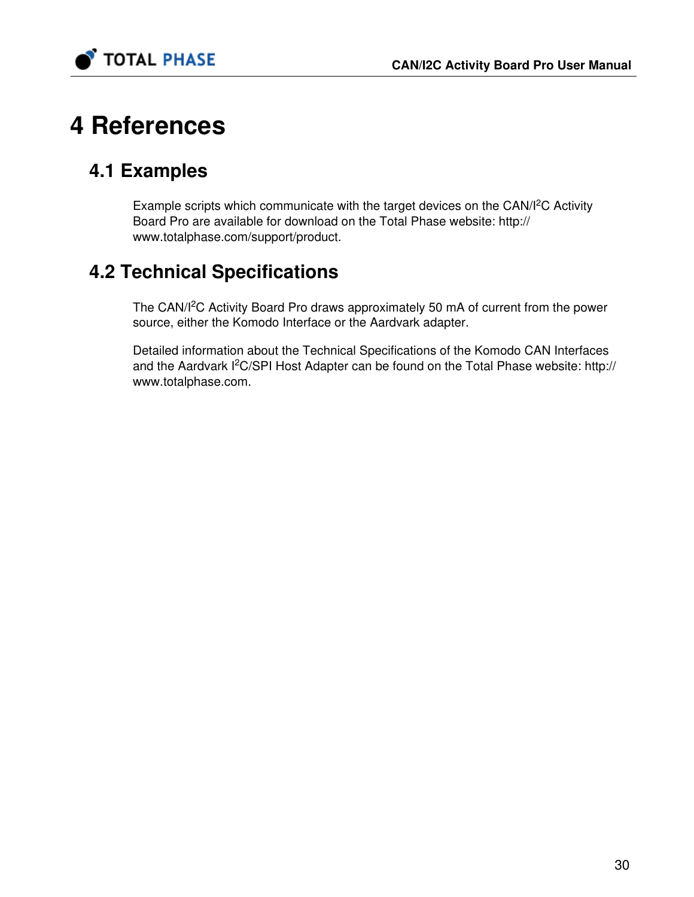

# 4 References

# 4.1 Examples

Example scripts which communicate with the target devices on the CAN/ $l^2C$  Activity Board Pro are available for download on the Total Phase website: [http://](http://www.totalphase.com/support/product) [www.totalphase.com/support/product](http://www.totalphase.com/support/product).

# 4.2 Technical Specifications

The CAN/I<sup>2</sup>C Activity Board Pro draws approximately 50 mA of current from the power source, either the Komodo Interface or the Aardvark adapter.

Detailed information about the Technical Specifications of the Komodo CAN Interfaces and the Aardvark I<sup>2</sup>C/SPI Host Adapter can be found on the Total Phase website: [http://](http://www.totalphase.com) [www.totalphase.com.](http://www.totalphase.com)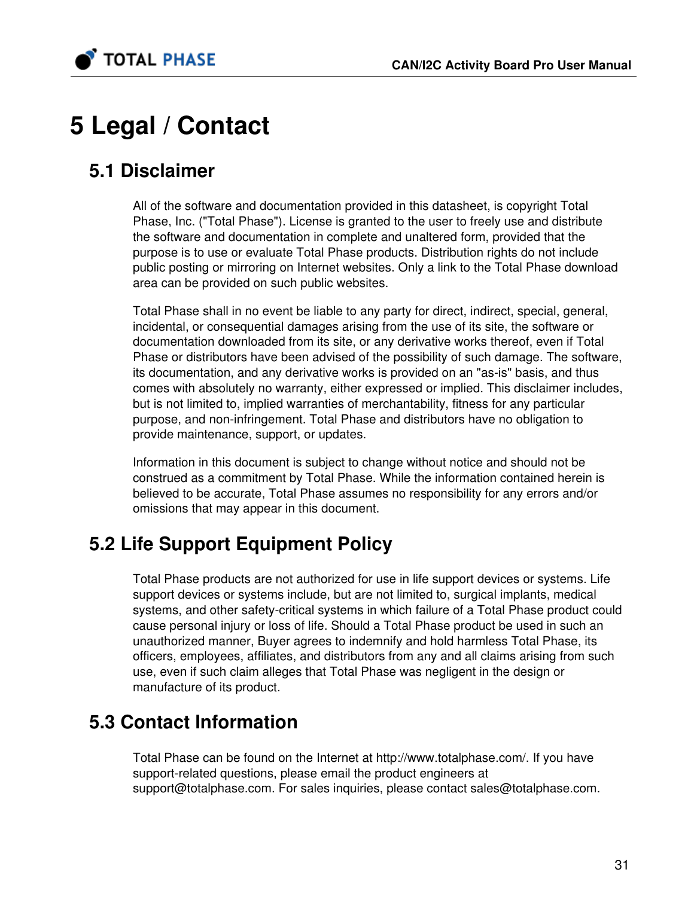

# 5 Legal / Contact

# 5.1 Disclaimer

All of the software and documentation provided in this datasheet, is copyright Total Phase, Inc. ("Total Phase"). License is granted to the user to freely use and distribute the software and documentation in complete and unaltered form, provided that the purpose is to use or evaluate Total Phase products. Distribution rights do not include public posting or mirroring on Internet websites. Only a link to the Total Phase download area can be provided on such public websites.

Total Phase shall in no event be liable to any party for direct, indirect, special, general, incidental, or consequential damages arising from the use of its site, the software or documentation downloaded from its site, or any derivative works thereof, even if Total Phase or distributors have been advised of the possibility of such damage. The software, its documentation, and any derivative works is provided on an "as-is" basis, and thus comes with absolutely no warranty, either expressed or implied. This disclaimer includes, but is not limited to, implied warranties of merchantability, fitness for any particular purpose, and non-infringement. Total Phase and distributors have no obligation to provide maintenance, support, or updates.

Information in this document is subject to change without notice and should not be construed as a commitment by Total Phase. While the information contained herein is believed to be accurate, Total Phase assumes no responsibility for any errors and/or omissions that may appear in this document.

# 5.2 Life Support Equipment Policy

Total Phase products are not authorized for use in life support devices or systems. Life support devices or systems include, but are not limited to, surgical implants, medical systems, and other safety-critical systems in which failure of a Total Phase product could cause personal injury or loss of life. Should a Total Phase product be used in such an unauthorized manner, Buyer agrees to indemnify and hold harmless Total Phase, its officers, employees, affiliates, and distributors from any and all claims arising from such use, even if such claim alleges that Total Phase was negligent in the design or manufacture of its product.

# 5.3 Contact Information

Total Phase can be found on the Internet at <http://www.totalphase.com/>. If you have support-related questions, please email the product engineers at [support@totalphase.com.](mailto:support@totalphase.com) For sales inquiries, please contact [sales@totalphase.com.](mailto:sales@totalphase.com)